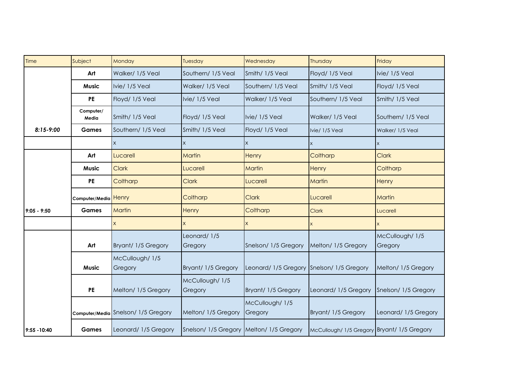| Time          | Subject              | Monday                              | Tuesday                                  | Wednesday                                 | Thursday                                    | Friday                     |
|---------------|----------------------|-------------------------------------|------------------------------------------|-------------------------------------------|---------------------------------------------|----------------------------|
|               | Art                  | Walker/ 1/5 Veal                    | Southern/ 1/5 Veal                       | Smith/ 1/5 Veal                           | Floyd/ 1/5 Veal                             | Ivie/ 1/5 Veal             |
|               | <b>Music</b>         | Ivie/ 1/5 Veal                      | Walker/ 1/5 Veal                         | Southern/ 1/5 Veal                        | Smith/ 1/5 Veal                             | Floyd/ 1/5 Veal            |
|               | <b>PE</b>            | Floyd/ 1/5 Veal                     | Ivie/ 1/5 Veal                           | Walker/ 1/5 Veal                          | Southern/ 1/5 Veal                          | Smith/ 1/5 Veal            |
|               | Computer/<br>Media   | Smith/ 1/5 Veal                     | Floyd/ 1/5 Veal                          | Ivie/ 1/5 Veal                            | Walker/ 1/5 Veal                            | Southern/ 1/5 Veal         |
| $8:15-9:00$   | <b>Games</b>         | Southern/ 1/5 Veal                  | Smith/ 1/5 Veal                          | Floyd/ 1/5 Veal                           | Ivie/ 1/5 Veal                              | Walker/ 1/5 Veal           |
|               |                      | X                                   | $\mathsf{X}$                             | X.                                        |                                             | $\boldsymbol{\mathsf{X}}$  |
|               | Art                  | Lucarell                            | <b>Martin</b>                            | <b>Henry</b>                              | Coltharp                                    | <b>Clark</b>               |
|               | <b>Music</b>         | <b>Clark</b>                        | Lucarell                                 | Martin                                    | Henry                                       | Coltharp                   |
|               | <b>PE</b>            | Coltharp                            | <b>Clark</b>                             | Lucarell                                  | Martin                                      | Henry                      |
|               | Computer/Media Henry |                                     | Coltharp                                 | <b>Clark</b>                              | Lucarell                                    | Martin                     |
| $9:05 - 9:50$ | <b>Games</b>         | Martin                              | Henry                                    | Coltharp                                  | <b>Clark</b>                                | Lucarell                   |
|               |                      | $\mathsf{x}$                        | $\mathsf{x}$                             | $\mathsf{x}$                              |                                             |                            |
|               | Art                  | Bryant/ 1/5 Gregory                 | Leonard/1/5<br>Gregory                   | Snelson/ 1/5 Gregory                      | Melton/ 1/5 Gregory                         | McCullough/ 1/5<br>Gregory |
|               | <b>Music</b>         | McCullough/ 1/5<br>Gregory          | Bryant/ 1/5 Gregory                      | Leonard/ 1/5 Gregory Snelson/ 1/5 Gregory |                                             | Melton/ 1/5 Gregory        |
|               | <b>PE</b>            | Melton/ 1/5 Gregory                 | McCullough/ 1/5<br>Gregory               | Bryant/ 1/5 Gregory                       | Leonard/ 1/5 Gregory                        | Snelson/1/5 Gregory        |
|               |                      | Computer/Media Snelson/ 1/5 Gregory | Melton/ 1/5 Gregory                      | McCullough/ 1/5<br>Gregory                | Bryant/ 1/5 Gregory                         | Leonard/ 1/5 Gregory       |
| 9:55 - 10:40  | <b>Games</b>         | Leonard/ 1/5 Gregory                | Snelson/ 1/5 Gregory Melton/ 1/5 Gregory |                                           | McCullough/ 1/5 Gregory Bryant/ 1/5 Gregory |                            |